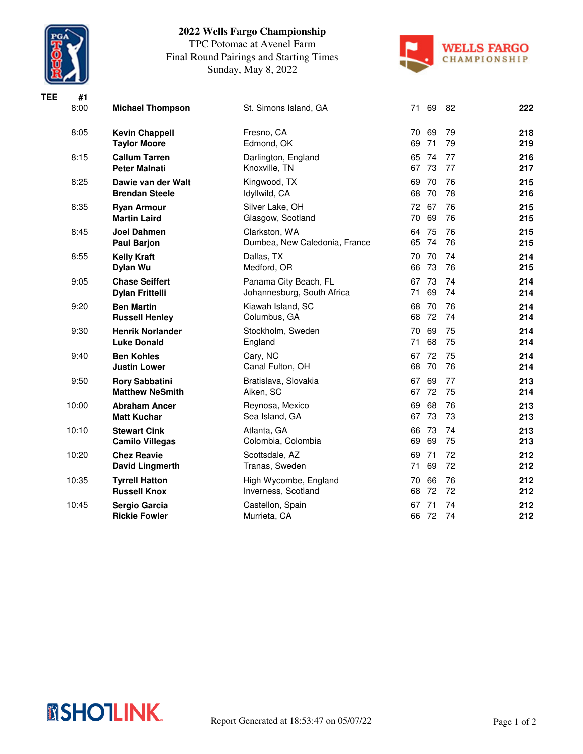

**TEE #1**

## **2022 Wells Fargo Championship**

TPC Potomac at Avenel Farm Final Round Pairings and Starting Times Sunday, May 8, 2022



| 8:00  | <b>Michael Thompson</b>                         | St. Simons Island, GA                               | 71 69                | 82       | 222        |
|-------|-------------------------------------------------|-----------------------------------------------------|----------------------|----------|------------|
| 8:05  | <b>Kevin Chappell</b><br><b>Taylor Moore</b>    | Fresno, CA<br>Edmond, OK                            | 69<br>70<br>71<br>69 | 79<br>79 | 218<br>219 |
| 8:15  | <b>Callum Tarren</b><br><b>Peter Malnati</b>    | Darlington, England<br>Knoxville, TN                | 74<br>65<br>67<br>73 | 77<br>77 | 216<br>217 |
| 8:25  | Dawie van der Walt<br><b>Brendan Steele</b>     | Kingwood, TX<br>Idyllwild, CA                       | 70<br>69<br>68<br>70 | 76<br>78 | 215<br>216 |
| 8:35  | <b>Ryan Armour</b><br><b>Martin Laird</b>       | Silver Lake, OH<br>Glasgow, Scotland                | 72 67<br>69<br>70    | 76<br>76 | 215<br>215 |
| 8:45  | Joel Dahmen<br><b>Paul Barjon</b>               | Clarkston, WA<br>Dumbea, New Caledonia, France      | 75<br>64<br>65<br>74 | 76<br>76 | 215<br>215 |
| 8:55  | <b>Kelly Kraft</b><br>Dylan Wu                  | Dallas, TX<br>Medford, OR                           | 70<br>70<br>73<br>66 | 74<br>76 | 214<br>215 |
| 9:05  | <b>Chase Seiffert</b><br><b>Dylan Frittelli</b> | Panama City Beach, FL<br>Johannesburg, South Africa | 73<br>67<br>69<br>71 | 74<br>74 | 214<br>214 |
| 9:20  | <b>Ben Martin</b><br><b>Russell Henley</b>      | Kiawah Island, SC<br>Columbus, GA                   | 68<br>70<br>68<br>72 | 76<br>74 | 214<br>214 |
| 9:30  | <b>Henrik Norlander</b><br><b>Luke Donald</b>   | Stockholm, Sweden<br>England                        | 69<br>70<br>68<br>71 | 75<br>75 | 214<br>214 |
| 9:40  | <b>Ben Kohles</b><br><b>Justin Lower</b>        | Cary, NC<br>Canal Fulton, OH                        | 72<br>67<br>68<br>70 | 75<br>76 | 214<br>214 |
| 9:50  | <b>Rory Sabbatini</b><br><b>Matthew NeSmith</b> | Bratislava, Slovakia<br>Aiken, SC                   | 67<br>69<br>67<br>72 | 77<br>75 | 213<br>214 |
| 10:00 | <b>Abraham Ancer</b><br><b>Matt Kuchar</b>      | Reynosa, Mexico<br>Sea Island, GA                   | 69<br>68<br>67<br>73 | 76<br>73 | 213<br>213 |
| 10:10 | <b>Stewart Cink</b><br><b>Camilo Villegas</b>   | Atlanta, GA<br>Colombia, Colombia                   | 73<br>66<br>69<br>69 | 74<br>75 | 213<br>213 |
| 10:20 | <b>Chez Reavie</b><br>David Lingmerth           | Scottsdale, AZ<br>Tranas, Sweden                    | 71<br>69<br>69<br>71 | 72<br>72 | 212<br>212 |
| 10:35 | <b>Tyrrell Hatton</b><br><b>Russell Knox</b>    | High Wycombe, England<br>Inverness, Scotland        | 66<br>70<br>72<br>68 | 76<br>72 | 212<br>212 |
| 10:45 | Sergio Garcia<br><b>Rickie Fowler</b>           | Castellon, Spain<br>Murrieta, CA                    | 71<br>67<br>72<br>66 | 74<br>74 | 212<br>212 |
|       |                                                 |                                                     |                      |          |            |